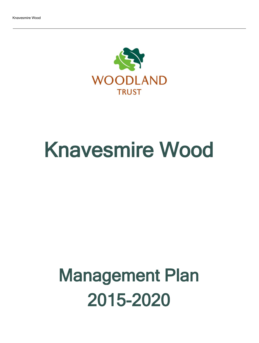

# Knavesmire Wood

## Management Plan 2015-2020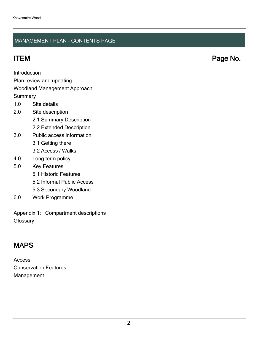### MANAGEMENT PLAN - CONTENTS PAGE

ITEM Page No.

Introduction

Plan review and updating

#### Woodland Management Approach

**Summary** 

- 1.0 Site details
- 2.0 Site description
	- 2.1 Summary Description
	- 2.2 Extended Description
- 3.0 Public access information
	- 3.1 Getting there
	- 3.2 Access / Walks
- 4.0 Long term policy
- 5.0 Key Features
	- 5.1 Historic Features
	- 5.2 Informal Public Access
	- 5.3 Secondary Woodland
- 6.0 Work Programme

Appendix 1: Compartment descriptions **Glossary** 

## MAPS

Access Conservation Features Management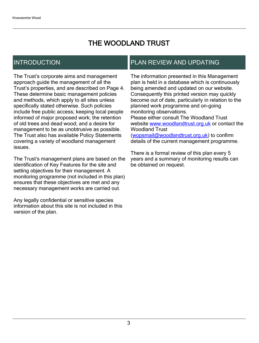## THE WOODLAND TRUST

## INTRODUCTION

The Trust's corporate aims and management approach guide the management of all the Trust's properties, and are described on Page 4. These determine basic management policies and methods, which apply to all sites unless specifically stated otherwise. Such policies include free public access; keeping local people informed of major proposed work; the retention of old trees and dead wood; and a desire for management to be as unobtrusive as possible. The Trust also has available Policy Statements covering a variety of woodland management issues.

The Trust's management plans are based on the identification of Key Features for the site and setting objectives for their management. A monitoring programme (not included in this plan) ensures that these objectives are met and any necessary management works are carried out.

Any legally confidential or sensitive species information about this site is not included in this version of the plan.

### PLAN REVIEW AND UPDATING

The information presented in this Management plan is held in a database which is continuously being amended and updated on our website. Consequently this printed version may quickly become out of date, particularly in relation to the planned work programme and on-going monitoring observations. Please either consult The Woodland Trust website [www.woodlandtrust.org.uk](http://www.woodlandtrust.org.uk/) or contact the Woodland Trust [\(wopsmail@woodlandtrust.org.uk](mailto:wopsmail@woodlandtrust.org.uk)) to confirm

details of the current management programme.

There is a formal review of this plan every 5 years and a summary of monitoring results can be obtained on request.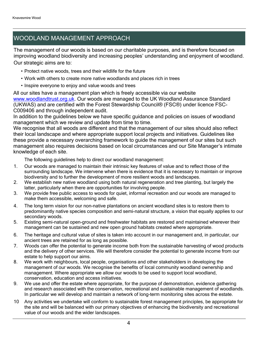## WOODLAND MANAGEMENT APPROACH

The management of our woods is based on our charitable purposes, and is therefore focused on improving woodland biodiversity and increasing peoples' understanding and enjoyment of woodland. Our strategic aims are to:

- Protect native woods, trees and their wildlife for the future
- Work with others to create more native woodlands and places rich in trees
- Inspire everyone to enjoy and value woods and trees

All our sites have a management plan which is freely accessible via our website [www.woodlandtrust.org.uk.](http://www.woodlandtrust.org.uk/) Our woods are managed to the UK Woodland Assurance Standard (UKWAS) and are certified with the Forest Stewardship Council® (FSC®) under licence FSC-C009406 and through independent audit.

In addition to the guidelines below we have specific guidance and policies on issues of woodland management which we review and update from time to time.

We recognise that all woods are different and that the management of our sites should also reflect their local landscape and where appropriate support local projects and initiatives. Guidelines like these provide a necessary overarching framework to guide the management of our sites but such management also requires decisions based on local circumstances and our Site Manager's intimate knowledge of each site.

The following guidelines help to direct our woodland management:

- 1. Our woods are managed to maintain their intrinsic key features of value and to reflect those of the surrounding landscape. We intervene when there is evidence that it is necessary to maintain or improve biodiversity and to further the development of more resilient woods and landscapes.
- 2. We establish new native woodland using both natural regeneration and tree planting, but largely the latter, particularly when there are opportunities for involving people.
- 3. We provide free public access to woods for quiet, informal recreation and our woods are managed to make them accessible, welcoming and safe.
- 4. The long term vision for our non-native plantations on ancient woodland sites is to restore them to predominantly native species composition and semi-natural structure, a vision that equally applies to our secondary woods.
- 5. Existing semi-natural open-ground and freshwater habitats are restored and maintained wherever their management can be sustained and new open ground habitats created where appropriate.
- 6. The heritage and cultural value of sites is taken into account in our management and, in particular, our ancient trees are retained for as long as possible.
- 7. Woods can offer the potential to generate income both from the sustainable harvesting of wood products and the delivery of other services. We will therefore consider the potential to generate income from our estate to help support our aims.
- 8. We work with neighbours, local people, organisations and other stakeholders in developing the management of our woods. We recognise the benefits of local community woodland ownership and management. Where appropriate we allow our woods to be used to support local woodland, conservation, education and access initiatives.
- 9. We use and offer the estate where appropriate, for the purpose of demonstration, evidence gathering and research associated with the conservation, recreational and sustainable management of woodlands. In particular we will develop and maintain a network of long-term monitoring sites across the estate.
- 10 Any activities we undertake will conform to sustainable forest management principles, be appropriate for the site and will be balanced with our primary objectives of enhancing the biodiversity and recreational value of our woods and the wider landscapes.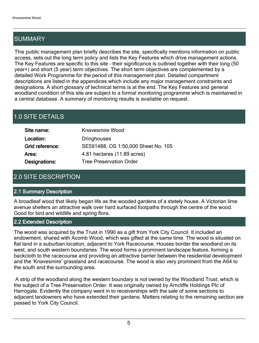## SUMMARY

This public management plan briefly describes the site, specifically mentions information on public access, sets out the long term policy and lists the Key Features which drive management actions. The Key Features are specific to this site - their significance is outlined together with their long (50 year+) and short (5 year) term objectives. The short term objectives are complemented by a detailed Work Programme for the period of this management plan. Detailed compartment descriptions are listed in the appendices which include any major management constraints and designations. A short glossary of technical terms is at the end. The Key Features and general woodland condition of this site are subject to a formal monitoring programme which is maintained in a central database. A summary of monitoring results is available on request.

## 1.0 SITE DETAILS

| Site name:      | <b>Knavesmire Wood</b>              |
|-----------------|-------------------------------------|
| Location:       | <b>Dringhouses</b>                  |
| Grid reference: | SE591488, OS 1:50,000 Sheet No. 105 |
| Area:           | 4.81 hectares (11.89 acres)         |
| Designations:   | <b>Tree Preservation Order</b>      |

## 2.0 SITE DESCRIPTION

#### 2.1 Summary Description

A broadleaf wood that likely began life as the wooded gardens of a stately house. A Victorian lime avenue shelters an attractive walk over hard surfaced footpaths through the centre of the wood. Good for bird and wildlife and spring flora.

#### 2.2 Extended Description

The wood was acquired by the Trust in 1990 as a gift from York City Council. It included an endowment, shared with Acomb Wood, which was gifted at the same time. The wood is situated on flat land in a suburban location, adjacent to York Racecourse. Houses border the woodland on its west, and south western boundaries. The wood forms a prominent landscape feature, forming a backcloth to the racecourse and providing an attractive barrier between the residential development and the 'Knavesmire' grassland and racecourse. The wood is also very prominent from the A64 to the south and the surrounding area.

 A strip of the woodland along the western boundary is not owned by the Woodland Trust, which is the subject of a Tree Preservation Order. It was originally owned by Arncliffe Holdings Plc of Harrogate. Evidently the company went in to receiverships with the sale of some sections to adjacent landowners who have extended their gardens. Matters relating to the remaining section are passed to York City Council.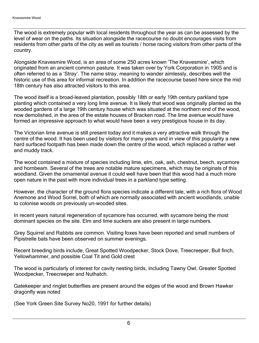The wood is extremely popular with local residents throughout the year as can be assessed by the level of wear on the paths. Its situation alongside the racecourse no doubt encourages visits from residents from other parts of the city as well as tourists / horse racing visitors from other parts of the country.

Alongside Knavesmire Wood, is an area of some 250 acres known 'The Knavesmire', which originated from an ancient common pasture. It was taken over by York Corporation in 1905 and is often referred to as a 'Stray'. The name stray, meaning to wander aimlessly, describes well the historic use of this area for informal recreation. In addition the racecourse based here since the mid 18th century has also attracted visitors to this area.

The wood itself is a broad-leaved plantation, possibly 18th or early 19th century parkland type planting which contained a very long lime avenue. It is likely that wood was originally planted as the wooded gardens of a large 19th century house which was situated at the northern end of the wood, now demolished, in the area of the estate houses of Bracken road. The lime avenue would have formed an impressive approach to what would have been a very prestigious house in its day.

The Victorian lime avenue is still present today and it makes a very attractive walk through the centre of the wood. It has been used by visitors for many years and in view of this popularity a new hard surfaced footpath has been made down the centre of the wood, which replaced a rather wet and muddy track.

The wood contained a mixture of species including lime, elm, oak, ash, chestnut, beech, sycamore and hornbeam. Several of the trees are notable mature specimens, which may be originals of this woodland. Given the ornamental avenue it could well have been that this wood had a much more open nature in the past with more individual trees in a parkland type setting.

However, the character of the ground flora species indicate a different tale, with a rich flora of Wood Anemone and Wood Sorrel, both of which are normally associated with ancient woodlands, unable to colonise woods on previously un-wooded sites.

In recent years natural regeneration of sycamore has occurred, with sycamore being the most dominant species on the site. Elm and lime suckers are also present in large numbers.

Grey Squirrel and Rabbits are common. Visiting foxes have been reported and small numbers of Pipistrelle bats have been observed on summer evenings.

Recent breeding birds include, Great Spotted Woodpecker, Stock Dove, Treecreeper, Bull finch, Yellowhammer, and possible Coal Tit and Gold crest

The wood is particularly of interest for cavity nesting birds, including Tawny Owl, Greater Spotted Woodpecker, Treecreeper and Nuthatch.

Gatekeeper and ringlet butterflies are present around the edges of the wood and Brown Hawker dragonfly was noted

(See York Green Site Survey No20, 1991 for further details)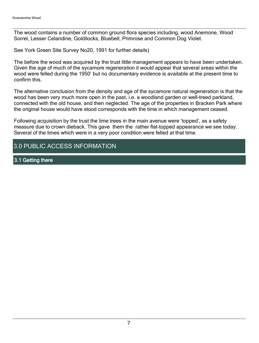The wood contains a number of common ground flora species including, wood Anemone, Wood Sorrel, Lesser Celandine, Goldilocks, Bluebell, Primrose and Common Dog Violet.

See York Green Site Survey No20, 1991 for further details)

The before the wood was acquired by the trust little management appears to have been undertaken. Given the age of much of the sycamore regeneration it would appear that several areas within the wood were felled during the 1950' but no documentary evidence is available at the present time to confirm this.

The alternative conclusion from the density and age of the sycamore natural regeneration is that the wood has been very much more open in the past, i.e. a woodland garden or well-treed parkland, connected with the old house, and then neglected. The age of the properties in Bracken Park where the original house would have stood corresponds with the time in which management ceased.

Following acquisition by the trust the lime trees in the main avenue were 'topped', as a safety measure due to crown dieback. This gave them the rather flat-topped appearance we see today. Several of the limes which were in a very poor condition were felled at that time.

## 3.0 PUBLIC ACCESS INFORMATION

3.1 Getting there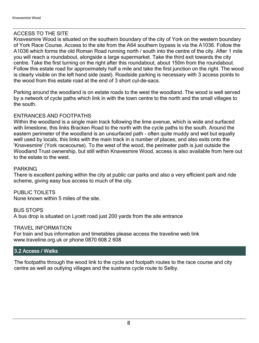#### ACCESS TO THE SITE

Knavesmire Wood is situated on the southern boundary of the city of York on the western boundary of York Race Course. Access to the site from the A64 southern bypass is via the A1036. Follow the A1036 which forms the old Roman Road running north / south into the centre of the city. After 1 mile you will reach a roundabout, alongside a large supermarket. Take the third exit towards the city centre. Take the first turning on the right after this roundabout, about 150m from the roundabout. Follow this estate road for approximately half a mile and take the first junction on the right. The wood is clearly visible on the left hand side (east). Roadside parking is necessary with 3 access points to the wood from this estate road at the end of 3 short cul-de-sacs.

Parking around the woodland is on estate roads to the west the woodland. The wood is well served by a network of cycle paths which link in with the town centre to the north and the small villages to the south.

#### ENTRANCES AND FOOTPATHS

Within the woodland is a single main track following the lime avenue, which is wide and surfaced with limestone, this links Bracken Road to the north with the cycle paths to the south. Around the eastern perimeter of the woodland is an unsurfaced path - often quite muddy and wet but equally well used by locals, this links with the main track in a number of places, and also exits onto the 'Knavesmire' (York racecourse). To the west of the wood, the perimeter path is just outside the Woodland Trust ownership, but still within Knavesmire Wood, access is also available from here out to the estate to the west.

#### PARKING

There is excellent parking within the city at public car parks and also a very efficient park and ride scheme, giving easy bus access to much of the city.

PUBLIC TOILETS None known within 5 miles of the site.

BUS STOPS A bus drop is situated on Lycett road just 200 yards from the site entrance

#### TRAVEL INFORMATION

For train and bus information and timetables please access the traveline web link www.traveline.org.uk or phone 0870 608 2 608

#### 3.2 Access / Walks

The footpaths through the wood link to the cycle and footpath routes to the race course and city centre as well as outlying villages and the sustrans cycle route to Selby.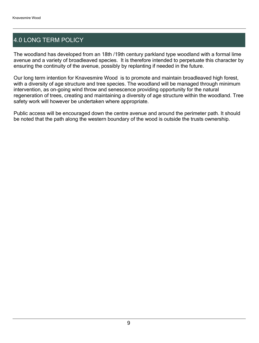## 4.0 LONG TERM POLICY

The woodland has developed from an 18th /19th century parkland type woodland with a formal lime avenue and a variety of broadleaved species. It is therefore intended to perpetuate this character by ensuring the continuity of the avenue, possibly by replanting if needed in the future.

Our long term intention for Knavesmire Wood is to promote and maintain broadleaved high forest, with a diversity of age structure and tree species. The woodland will be managed through minimum intervention, as on-going wind throw and senescence providing opportunity for the natural regeneration of trees, creating and maintaining a diversity of age structure within the woodland. Tree safety work will however be undertaken where appropriate.

Public access will be encouraged down the centre avenue and around the perimeter path. It should be noted that the path along the western boundary of the wood is outside the trusts ownership.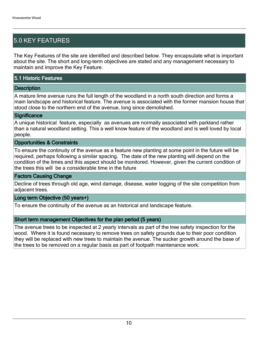## 5.0 KEY FEATURES

The Key Features of the site are identified and described below. They encapsulate what is important about the site. The short and long-term objectives are stated and any management necessary to maintain and improve the Key Feature.

#### 5.1 Historic Features

#### **Description**

A mature lime avenue runs the full length of the woodland in a north south direction and forms a main landscape and historical feature. The avenue is associated with the former mansion house that stood close to the northern end of the avenue, long since demolished.

#### **Significance**

A unique historical feature, especially as avenues are normally associated with parkland rather than a natural woodland setting. This a well know feature of the woodland and is well loved by local people.

#### Opportunities & Constraints

To ensure the continuity of the avenue as a feature new planting at some point in the future will be required, perhaps following a similar spacing. The date of the new planting will depend on the condition of the limes and this aspect should be monitored. However, given the current condition of the trees this will be a considerable time in the future

#### Factors Causing Change

Decline of trees through old age, wind damage, disease, water logging of the site competition from adjacent trees.

#### Long term Objective (50 years+)

To ensure the continuity of the avenue as an historical and landscape feature.

#### Short term management Objectives for the plan period (5 years)

The avenue trees to be inspected at 2 yearly intervals as part of the tree safety inspection for the wood. Where it is found necessary to remove trees on safety grounds due to their poor condition they will be replaced with new trees to maintain the avenue. The sucker growth around the base of the trees to be removed on a regular basis as part of footpath maintenance work.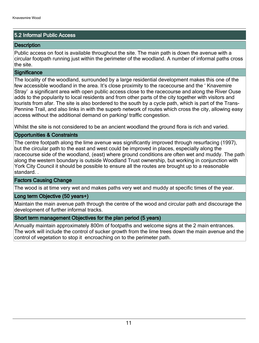#### 5.2 Informal Public Access

#### **Description**

Public access on foot is available throughout the site. The main path is down the avenue with a circular footpath running just within the perimeter of the woodland. A number of informal paths cross the site.

#### **Significance**

The locality of the woodland, surrounded by a large residential development makes this one of the few accessible woodland in the area. It's close proximity to the racecourse and the 'Knavemire Stray' a significant area with open public access close to the racecourse and along the River Ouse adds to the popularity to local residents and from other parts of the city together with visitors and tourists from afar. The site is also bordered to the south by a cycle path, which is part of the Trans-Pennine Trail, and also links in with the superb network of routes which cross the city, allowing easy access without the additional demand on parking/ traffic congestion.

Whilst the site is not considered to be an ancient woodland the ground flora is rich and varied.

#### Opportunities & Constraints

The centre footpath along the lime avenue was significantly improved through resurfacing (1997), but the circular path to the east and west could be improved in places, especially along the racecourse side of the woodland, (east) where ground conditions are often wet and muddy. The path along the western boundary is outside Woodland Trust ownership, but working in conjunction with York City Council it should be possible to ensure all the routes are brought up to a reasonable standard. .

#### Factors Causing Change

The wood is at time very wet and makes paths very wet and muddy at specific times of the year.

#### Long term Objective (50 years+)

Maintain the main avenue path through the centre of the wood and circular path and discourage the development of further informal tracks.

#### Short term management Objectives for the plan period (5 years)

Annually maintain approximately 800m of footpaths and welcome signs at the 2 main entrances. The work will include the control of sucker growth from the lime trees down the main avenue and the control of vegetation to stop it encroaching on to the perimeter path.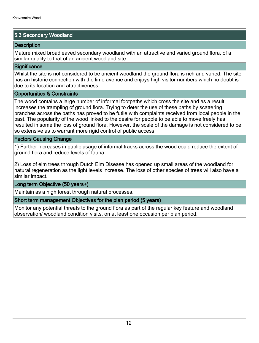#### 5.3 Secondary Woodland

#### **Description**

Mature mixed broadleaved secondary woodland with an attractive and varied ground flora, of a similar quality to that of an ancient woodland site.

#### **Significance**

Whilst the site is not considered to be ancient woodland the ground flora is rich and varied. The site has an historic connection with the lime avenue and enjoys high visitor numbers which no doubt is due to its location and attractiveness.

#### Opportunities & Constraints

The wood contains a large number of informal footpaths which cross the site and as a result increases the trampling of ground flora. Trying to deter the use of these paths by scattering branches across the paths has proved to be futile with complaints received from local people in the past. The popularity of the wood linked to the desire for people to be able to move freely has resulted in some the loss of ground flora. However, the scale of the damage is not considered to be so extensive as to warrant more rigid control of public access.

#### Factors Causing Change

1) Further increases in public usage of informal tracks across the wood could reduce the extent of ground flora and reduce levels of fauna.

2) Loss of elm trees through Dutch Elm Disease has opened up small areas of the woodland for natural regeneration as the light levels increase. The loss of other species of trees will also have a similar impact.

#### Long term Objective (50 years+)

Maintain as a high forest through natural processes.

#### Short term management Objectives for the plan period (5 years)

Monitor any potential threats to the ground flora as part of the regular key feature and woodland observation/ woodland condition visits, on at least one occasion per plan period.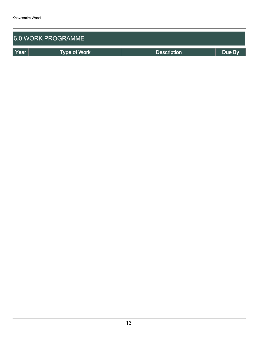| <b>6.0 WORK PROGRAMME</b>   |  |                    |        |  |  |  |  |  |
|-----------------------------|--|--------------------|--------|--|--|--|--|--|
| Year<br><b>Type of Work</b> |  | <b>Description</b> | Due By |  |  |  |  |  |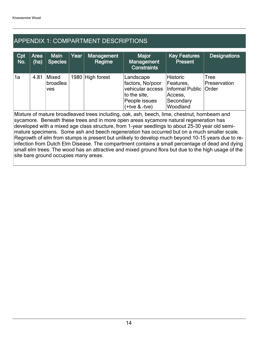## APPENDIX 1: COMPARTMENT DESCRIPTIONS

| Cpt<br>No.                                                                                   | Area<br>(ha) | <b>Main</b><br><b>Species</b>   | Year | Management<br>Regime | Major<br>Management<br><b>Constraints</b>                                                                    | <b>Key Features</b><br><b>Present</b>                                                       | <b>Designations</b>  |  |  |
|----------------------------------------------------------------------------------------------|--------------|---------------------------------|------|----------------------|--------------------------------------------------------------------------------------------------------------|---------------------------------------------------------------------------------------------|----------------------|--|--|
| 1a                                                                                           | 4.81         | Mixed<br>broadlea<br><b>ves</b> |      | 1980 High forest     | Landscape<br>factors, No/poor<br>vehicular access<br>to the site,<br>People issues<br>$(+$ tve $& -$ tve $)$ | <b>Historic</b><br>Features,<br>Informal Public   Order<br>Access,<br>Secondary<br>Woodland | Tree<br>Preservation |  |  |
| Mixture of mature broadleaved trees including, oak, ash, beech, lime, chestnut, hornbeam and |              |                                 |      |                      |                                                                                                              |                                                                                             |                      |  |  |

sycamore. Beneath these trees and in more open areas sycamore natural regeneration has developed with a mixed age class structure, from 1-year seedlings to about 25-30 year old semimature specimens. Some ash and beech regeneration has occurred but on a much smaller scale. Regrowth of elm from stumps is present but unlikely to develop much beyond 10-15 years due to reinfection from Dutch Elm Disease. The compartment contains a small percentage of dead and dying small elm trees. The wood has an attractive and mixed ground flora but due to the high usage of the site bare ground occupies many areas.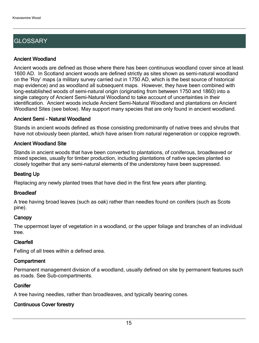## **GLOSSARY**

#### Ancient Woodland

Ancient woods are defined as those where there has been continuous woodland cover since at least 1600 AD. In Scotland ancient woods are defined strictly as sites shown as semi-natural woodland on the 'Roy' maps (a military survey carried out in 1750 AD, which is the best source of historical map evidence) and as woodland all subsequent maps. However, they have been combined with long-established woods of semi-natural origin (originating from between 1750 and 1860) into a single category of Ancient Semi-Natural Woodland to take account of uncertainties in their identification. Ancient woods include Ancient Semi-Natural Woodland and plantations on Ancient Woodland Sites (see below). May support many species that are only found in ancient woodland.

#### Ancient Semi - Natural Woodland

Stands in ancient woods defined as those consisting predominantly of native trees and shrubs that have not obviously been planted, which have arisen from natural regeneration or coppice regrowth.

#### Ancient Woodland Site

Stands in ancient woods that have been converted to plantations, of coniferous, broadleaved or mixed species, usually for timber production, including plantations of native species planted so closely together that any semi-natural elements of the understorey have been suppressed.

#### Beating Up

Replacing any newly planted trees that have died in the first few years after planting.

#### **Broadleaf**

A tree having broad leaves (such as oak) rather than needles found on conifers (such as Scots pine).

#### **Canopy**

The uppermost layer of vegetation in a woodland, or the upper foliage and branches of an individual tree.

#### Clearfell

Felling of all trees within a defined area.

#### **Compartment**

Permanent management division of a woodland, usually defined on site by permanent features such as roads. See Sub-compartments.

#### **Conifer**

A tree having needles, rather than broadleaves, and typically bearing cones.

#### Continuous Cover forestry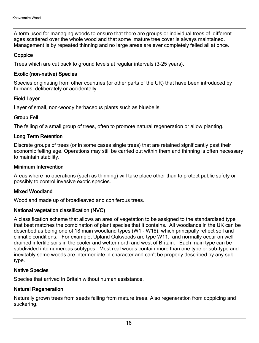A term used for managing woods to ensure that there are groups or individual trees of different ages scattered over the whole wood and that some mature tree cover is always maintained. Management is by repeated thinning and no large areas are ever completely felled all at once.

#### **Coppice**

Trees which are cut back to ground levels at regular intervals (3-25 years).

#### Exotic (non-native) Species

Species originating from other countries (or other parts of the UK) that have been introduced by humans, deliberately or accidentally.

#### Field Layer

Layer of small, non-woody herbaceous plants such as bluebells.

#### Group Fell

The felling of a small group of trees, often to promote natural regeneration or allow planting.

#### Long Term Retention

Discrete groups of trees (or in some cases single trees) that are retained significantly past their economic felling age. Operations may still be carried out within them and thinning is often necessary to maintain stability.

#### Minimum Intervention

Areas where no operations (such as thinning) will take place other than to protect public safety or possibly to control invasive exotic species.

#### Mixed Woodland

Woodland made up of broadleaved and coniferous trees.

#### National vegetation classification (NVC)

A classification scheme that allows an area of vegetation to be assigned to the standardised type that best matches the combination of plant species that it contains. All woodlands in the UK can be described as being one of 18 main woodland types (W1 - W18), which principally reflect soil and climatic conditions. For example, Upland Oakwoods are type W11, and normally occur on well drained infertile soils in the cooler and wetter north and west of Britain. Each main type can be subdivided into numerous subtypes. Most real woods contain more than one type or sub-type and inevitably some woods are intermediate in character and can't be properly described by any sub type.

#### Native Species

Species that arrived in Britain without human assistance.

#### Natural Regeneration

Naturally grown trees from seeds falling from mature trees. Also regeneration from coppicing and suckering.